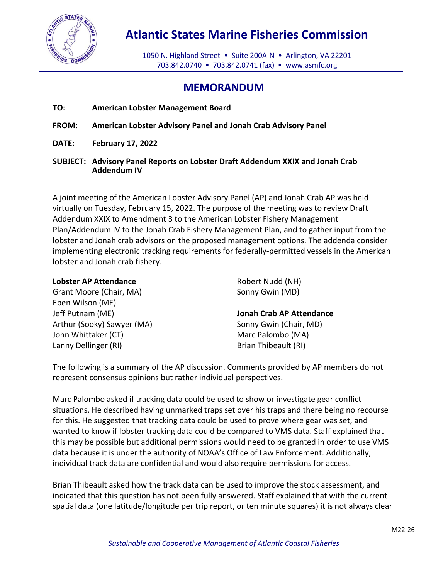

## **Atlantic States Marine Fisheries Commission**

1050 N. Highland Street • Suite 200A-N • Arlington, VA 22201 703.842.0740 • 703.842.0741 (fax) • [www.asmfc.org](http://www.asmfc.org/)

## **MEMORANDUM**

- **TO: American Lobster Management Board**
- **FROM: American Lobster Advisory Panel and Jonah Crab Advisory Panel**
- **DATE: February 17, 2022**
- **SUBJECT: Advisory Panel Reports on Lobster Draft Addendum XXIX and Jonah Crab Addendum IV**

A joint meeting of the American Lobster Advisory Panel (AP) and Jonah Crab AP was held virtually on Tuesday, February 15, 2022. The purpose of the meeting was to review Draft Addendum XXIX to Amendment 3 to the American Lobster Fishery Management Plan/Addendum IV to the Jonah Crab Fishery Management Plan, and to gather input from the lobster and Jonah crab advisors on the proposed management options. The addenda consider implementing electronic tracking requirements for federally-permitted vessels in the American lobster and Jonah crab fishery.

| <b>Lobster AP Attendance</b> | Robert Nudd (NH)         |
|------------------------------|--------------------------|
| Grant Moore (Chair, MA)      | Sonny Gwin (MD)          |
| Eben Wilson (ME)             |                          |
| Jeff Putnam (ME)             | Jonah Crab AP Attendance |
| Arthur (Sooky) Sawyer (MA)   | Sonny Gwin (Chair, MD)   |
| John Whittaker (CT)          | Marc Palombo (MA)        |
| Lanny Dellinger (RI)         | Brian Thibeault (RI)     |

The following is a summary of the AP discussion. Comments provided by AP members do not represent consensus opinions but rather individual perspectives.

Marc Palombo asked if tracking data could be used to show or investigate gear conflict situations. He described having unmarked traps set over his traps and there being no recourse for this. He suggested that tracking data could be used to prove where gear was set, and wanted to know if lobster tracking data could be compared to VMS data. Staff explained that this may be possible but additional permissions would need to be granted in order to use VMS data because it is under the authority of NOAA's Office of Law Enforcement. Additionally, individual track data are confidential and would also require permissions for access.

Brian Thibeault asked how the track data can be used to improve the stock assessment, and indicated that this question has not been fully answered. Staff explained that with the current spatial data (one latitude/longitude per trip report, or ten minute squares) it is not always clear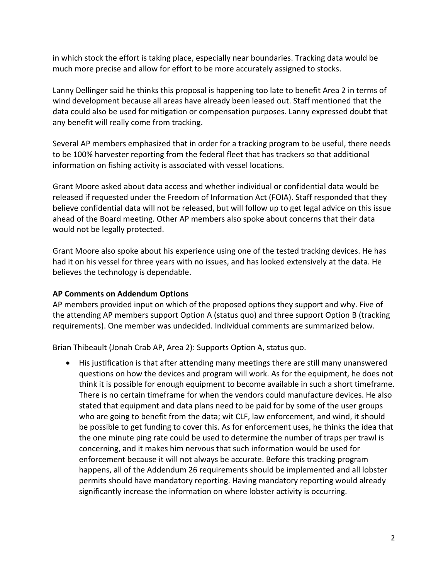in which stock the effort is taking place, especially near boundaries. Tracking data would be much more precise and allow for effort to be more accurately assigned to stocks.

Lanny Dellinger said he thinks this proposal is happening too late to benefit Area 2 in terms of wind development because all areas have already been leased out. Staff mentioned that the data could also be used for mitigation or compensation purposes. Lanny expressed doubt that any benefit will really come from tracking.

Several AP members emphasized that in order for a tracking program to be useful, there needs to be 100% harvester reporting from the federal fleet that has trackers so that additional information on fishing activity is associated with vessel locations.

Grant Moore asked about data access and whether individual or confidential data would be released if requested under the Freedom of Information Act (FOIA). Staff responded that they believe confidential data will not be released, but will follow up to get legal advice on this issue ahead of the Board meeting. Other AP members also spoke about concerns that their data would not be legally protected.

Grant Moore also spoke about his experience using one of the tested tracking devices. He has had it on his vessel for three years with no issues, and has looked extensively at the data. He believes the technology is dependable.

## **AP Comments on Addendum Options**

AP members provided input on which of the proposed options they support and why. Five of the attending AP members support Option A (status quo) and three support Option B (tracking requirements). One member was undecided. Individual comments are summarized below.

Brian Thibeault (Jonah Crab AP, Area 2): Supports Option A, status quo.

• His justification is that after attending many meetings there are still many unanswered questions on how the devices and program will work. As for the equipment, he does not think it is possible for enough equipment to become available in such a short timeframe. There is no certain timeframe for when the vendors could manufacture devices. He also stated that equipment and data plans need to be paid for by some of the user groups who are going to benefit from the data; wit CLF, law enforcement, and wind, it should be possible to get funding to cover this. As for enforcement uses, he thinks the idea that the one minute ping rate could be used to determine the number of traps per trawl is concerning, and it makes him nervous that such information would be used for enforcement because it will not always be accurate. Before this tracking program happens, all of the Addendum 26 requirements should be implemented and all lobster permits should have mandatory reporting. Having mandatory reporting would already significantly increase the information on where lobster activity is occurring.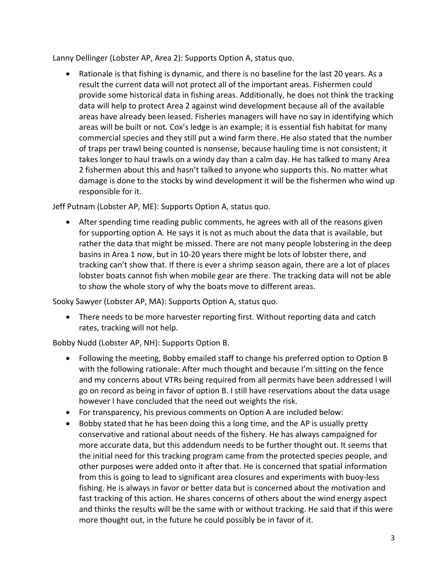Lanny Dellinger (Lobster AP, Area 2): Supports Option A, status quo.

• Rationale is that fishing is dynamic, and there is no baseline for the last 20 years. As a result the current data will not protect all of the important areas. Fishermen could provide some historical data in fishing areas. Additionally, he does not think the tracking data will help to protect Area 2 against wind development because all of the available areas have already been leased. Fisheries managers will have no say in identifying which areas will be built or not. Cox's ledge is an example; it is essential fish habitat for many commercial species and they still put a wind farm there. He also stated that the number of traps per trawl being counted is nonsense, because hauling time is not consistent; it takes longer to haul trawls on a windy day than a calm day. He has talked to many Area 2 fishermen about this and hasn't talked to anyone who supports this. No matter what damage is done to the stocks by wind development it will be the fishermen who wind up responsible for it.

Jeff Putnam (Lobster AP, ME): Supports Option A, status quo.

• After spending time reading public comments, he agrees with all of the reasons given for supporting option A. He says it is not as much about the data that is available, but rather the data that might be missed. There are not many people lobstering in the deep basins in Area 1 now, but in 10-20 years there might be lots of lobster there, and tracking can't show that. If there is ever a shrimp season again, there are a lot of places lobster boats cannot fish when mobile gear are there. The tracking data will not be able to show the whole story of why the boats move to different areas.

Sooky Sawyer (Lobster AP, MA): Supports Option A, status quo.

• There needs to be more harvester reporting first. Without reporting data and catch rates, tracking will not help.

Bobby Nudd (Lobster AP, NH): Supports Option B.

- Following the meeting, Bobby emailed staff to change his preferred option to Option B with the following rationale: After much thought and because I'm sitting on the fence and my concerns about VTRs being required from all permits have been addressed l will go on record as being in favor of option B. I still have reservations about the data usage however I have concluded that the need out weights the risk.
- For transparency, his previous comments on Option A are included below:
- Bobby stated that he has been doing this a long time, and the AP is usually pretty conservative and rational about needs of the fishery. He has always campaigned for more accurate data, but this addendum needs to be further thought out. It seems that the initial need for this tracking program came from the protected species people, and other purposes were added onto it after that. He is concerned that spatial information from this is going to lead to significant area closures and experiments with buoy-less fishing. He is always in favor or better data but is concerned about the motivation and fast tracking of this action. He shares concerns of others about the wind energy aspect and thinks the results will be the same with or without tracking. He said that if this were more thought out, in the future he could possibly be in favor of it.